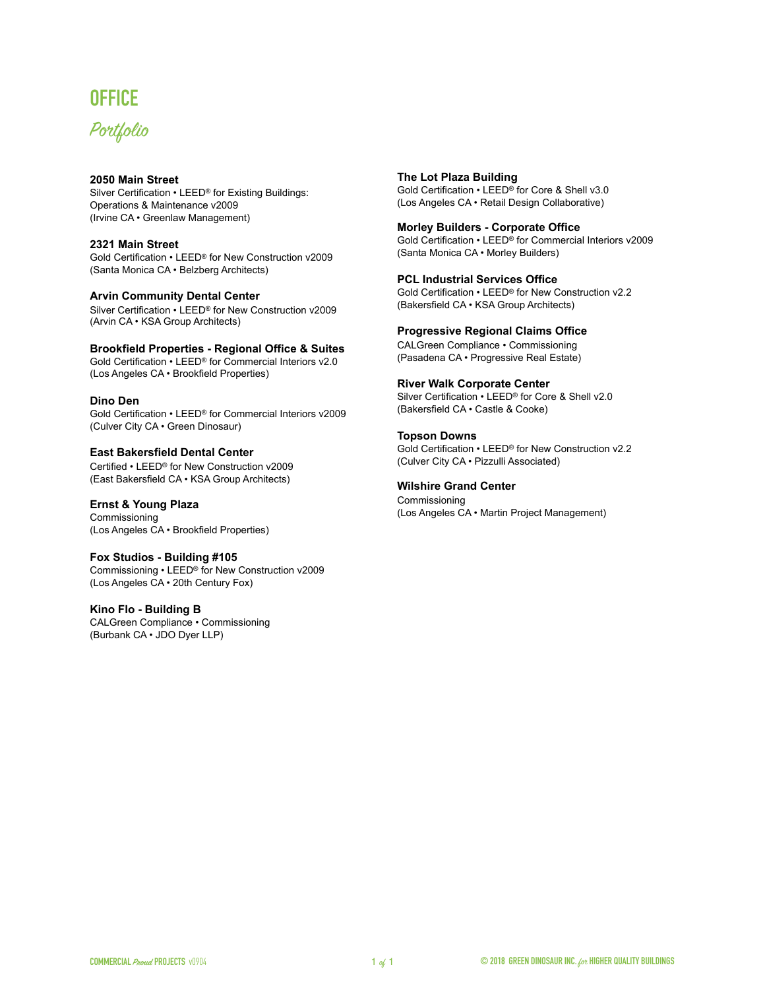# **OFFICE**

# Portfolio

### **[2050 Main Street](http://www.gbig.org/activities/leed-1000005346)**

Silver Certification • LEED® for Existing Buildings: Operations & Maintenance v2009 (Irvine CA • Greenlaw Management)

#### **[2321 Main Street](http://www.gbig.org/buildings/58241/details)**

Gold Certification • LEED® for New Construction v2009 (Santa Monica CA • Belzberg Architects)

#### **[Arvin Community Dental Center](http://www.gbig.org/buildings/25909/details)**

Silver Certification • LEED® for New Construction v2009 (Arvin CA • KSA Group Architects)

#### **[Brookfield Properties - Regional Office & Suites](http://www.gbig.org/activities/leed-10183580)**

Gold Certification • LEED® for Commercial Interiors v2.0 (Los Angeles CA · Brookfield Properties)

#### **Dino Den**

Gold Certification • LEED® for Commercial Interiors v2009 (Culver City CA • Green Dinosaur)

# **[East Bakersfield Dental Center](http://www.gbig.org/activities/leed-1000005201)**

Certified • LEED® for New Construction v2009 (East Bakersfield CA • KSA Group Architects)

### **[Ernst & Young Plaza](http://www.gbig.org/activities/leed-1000012310)**

Commissioning (Los Angeles CA • Brookfield Properties)

#### **Fox Studios - Building #105**

Commissioning • LEED® for New Construction v2009 (Los Angeles CA • 20th Century Fox)

#### **Kino Flo - Building B**

CALGreen Compliance • Commissioning (Burbank CA • JDO Dyer LLP)

### **[The Lot Plaza Building](http://www.gbig.org/collections/15828)**

Gold Certification • LEED® for Core & Shell v3.0 (Los Angeles CA • Retail Design Collaborative)

#### **[Morley Builders - Corporate Office](http://www.gbig.org/activities/leed-1000014207)**

Gold Certification • LEED® for Commercial Interiors v2009 (Santa Monica CA • Morley Builders)

#### **[PCL Industrial Services Office](http://www.gbig.org/activities/leed-10341308)**

Gold Certification • LEED® for New Construction v2.2 (Bakersfield CA • KSA Group Architects)

#### **Progressive Regional Claims Office**

CALGreen Compliance • Commissioning (Pasadena CA • Progressive Real Estate)

#### **[River Walk Corporate Center](http://www.gbig.org/activities/leed-10142378)**

Silver Certification • LEED® for Core & Shell v2.0 (Bakersfield CA • Castle & Cooke)

#### **[Topson Downs](http://www.gbig.org/activities/leed-10250463)**

Gold Certification • LEED® for New Construction v2.2 (Culver City CA • Pizzulli Associated)

#### **Wilshire Grand Center**

Commissioning (Los Angeles CA • Martin Project Management)